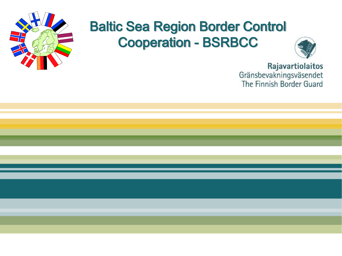

# Baltic Sea Region Border Control Cooperation - BSRBCC



Rajavartiolaitos Gränsbevakningsväsendet The Finnish Border Guard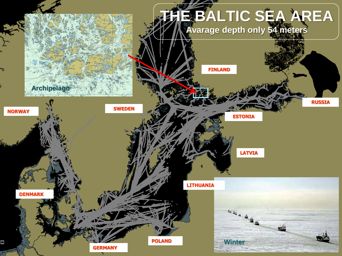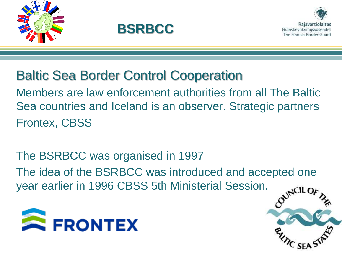





SF.

# Baltic Sea Border Control Cooperation

Members are law enforcement authorities from all The Baltic Sea countries and Iceland is an observer. Strategic partners Frontex, CBSS

The BSRBCC was organised in 1997 The idea of the BSRBCC was introduced and accepted one year earlier in 1996 CBSS 5th Ministerial Session.

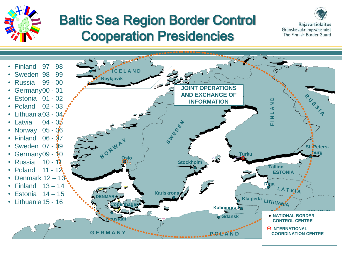

# Baltic Sea Region Border Control Cooperation Presidencies



Rajavartiolaitos Gränsbevakningsväsendet The Finnish Border Guard

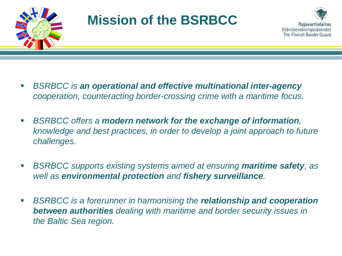

# **Mission of the BSRBCC**



- *BSRBCC is an operational and effective multinational inter-agency cooperation, counteracting border-crossing crime with a maritime focus.*
- *BSRBCC offers a modern network for the exchange of information, knowledge and best practices, in order to develop a joint approach to future challenges.*
- *BSRBCC supports existing systems aimed at ensuring maritime safety, as well as environmental protection and fishery surveillance.*
- *BSRBCC is a forerunner in harmonising the relationship and cooperation between authorities dealing with maritime and border security issues in the Baltic Sea region.*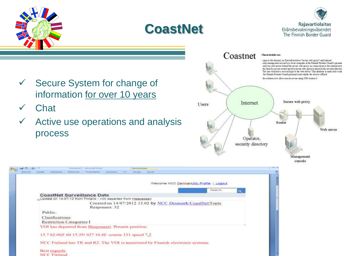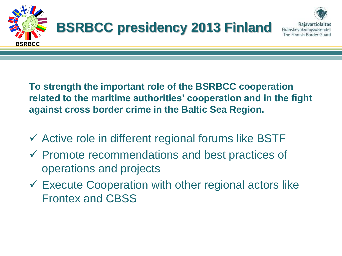

**To strength the important role of the BSRBCC cooperation related to the maritime authorities' cooperation and in the fight against cross border crime in the Baltic Sea Region.**

- $\checkmark$  Active role in different regional forums like BSTF
- $\checkmark$  Promote recommendations and best practices of operations and projects
- $\checkmark$  Execute Cooperation with other regional actors like Frontex and CBSS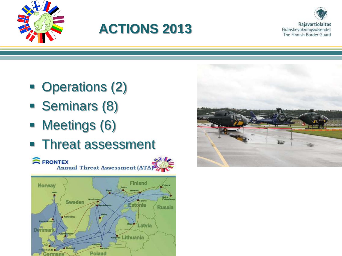

# **ACTIONS 2013**



- Operations (2)
- **Seminars (8)**
- Meetings (6)
- Threat assessment



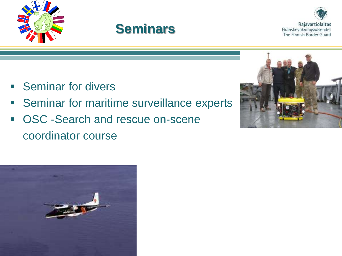





- **Seminar for divers**
- **Seminar for maritime surveillance experts**
- **OSC -Search and rescue on-scene** coordinator course



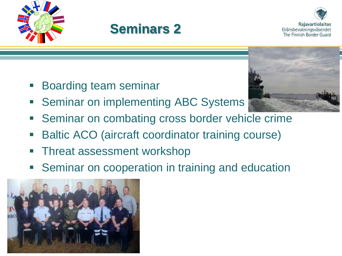





- **Boarding team seminar**
- **Seminar on implementing ABC Systems**
- **Seminar on combating cross border vehicle crime**
- Baltic ACO (aircraft coordinator training course)
- **Threat assessment workshop**
- Seminar on cooperation in training and education



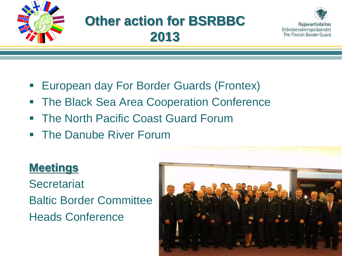

# **Other action for BSRBBC 2013**



- **European day For Border Guards (Frontex)**
- **The Black Sea Area Cooperation Conference**
- **The North Pacific Coast Guard Forum**
- **The Danube River Forum**

### **Meetings**

**Secretariat** Baltic Border Committee Heads Conference

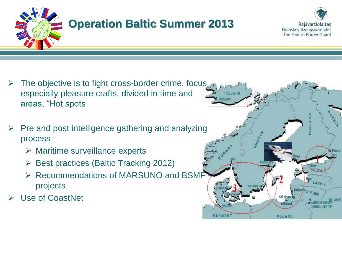

- $\triangleright$  The objective is to fight cross-border crime, focus especially pleasure crafts, divided in time and areas, "Hot spots
- Pre and post intelligence gathering and analyzing process
	- $\triangleright$  Maritime surveillance experts
	- $\triangleright$  Best practices (Baltic Tracking 2012)
	- ▶ Recommendations of MARSUNO and BSMF projects
- Use of CoastNet



Rajavartiolaitos

Gränsbevakningsväsendet The Finnish Border Guard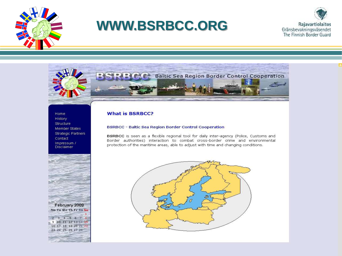

# **WWW.BSRBCC.ORG**





Home History Structure Member States **Strategic Partners** Contact Impressum / **Disclaimer** 



### **What is BSRBCC?**

#### **BSRBCC - Baltic Sea Region Border Control Cooperation**

BSRBCC is seen as a flexible regional tool for daily inter-agency (Police, Customs and Border authorities) interaction to combat cross-border crime and environmental protection of the maritime areas, able to adjust with time and changing conditions.